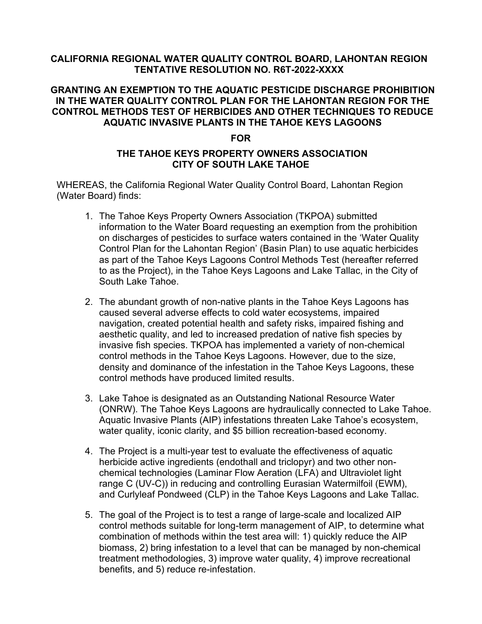## **CALIFORNIA REGIONAL WATER QUALITY CONTROL BOARD, LAHONTAN REGION TENTATIVE RESOLUTION NO. R6T-2022-XXXX**

# **GRANTING AN EXEMPTION TO THE AQUATIC PESTICIDE DISCHARGE PROHIBITION IN THE WATER QUALITY CONTROL PLAN FOR THE LAHONTAN REGION FOR THE CONTROL METHODS TEST OF HERBICIDES AND OTHER TECHNIQUES TO REDUCE AQUATIC INVASIVE PLANTS IN THE TAHOE KEYS LAGOONS**

#### **FOR**

## **THE TAHOE KEYS PROPERTY OWNERS ASSOCIATION CITY OF SOUTH LAKE TAHOE**

WHEREAS, the California Regional Water Quality Control Board, Lahontan Region (Water Board) finds:

- 1. The Tahoe Keys Property Owners Association (TKPOA) submitted information to the Water Board requesting an exemption from the prohibition on discharges of pesticides to surface waters contained in the 'Water Quality Control Plan for the Lahontan Region' (Basin Plan) to use aquatic herbicides as part of the Tahoe Keys Lagoons Control Methods Test (hereafter referred to as the Project), in the Tahoe Keys Lagoons and Lake Tallac, in the City of South Lake Tahoe.
- 2. The abundant growth of non-native plants in the Tahoe Keys Lagoons has caused several adverse effects to cold water ecosystems, impaired navigation, created potential health and safety risks, impaired fishing and aesthetic quality, and led to increased predation of native fish species by invasive fish species. TKPOA has implemented a variety of non-chemical control methods in the Tahoe Keys Lagoons. However, due to the size, density and dominance of the infestation in the Tahoe Keys Lagoons, these control methods have produced limited results.
- 3. Lake Tahoe is designated as an Outstanding National Resource Water (ONRW). The Tahoe Keys Lagoons are hydraulically connected to Lake Tahoe. Aquatic Invasive Plants (AIP) infestations threaten Lake Tahoe's ecosystem, water quality, iconic clarity, and \$5 billion recreation-based economy.
- 4. The Project is a multi-year test to evaluate the effectiveness of aquatic herbicide active ingredients (endothall and triclopyr) and two other nonchemical technologies (Laminar Flow Aeration (LFA) and Ultraviolet light range C (UV-C)) in reducing and controlling Eurasian Watermilfoil (EWM), and Curlyleaf Pondweed (CLP) in the Tahoe Keys Lagoons and Lake Tallac.
- 5. The goal of the Project is to test a range of large-scale and localized AIP control methods suitable for long-term management of AIP, to determine what combination of methods within the test area will: 1) quickly reduce the AIP biomass, 2) bring infestation to a level that can be managed by non-chemical treatment methodologies, 3) improve water quality, 4) improve recreational benefits, and 5) reduce re-infestation.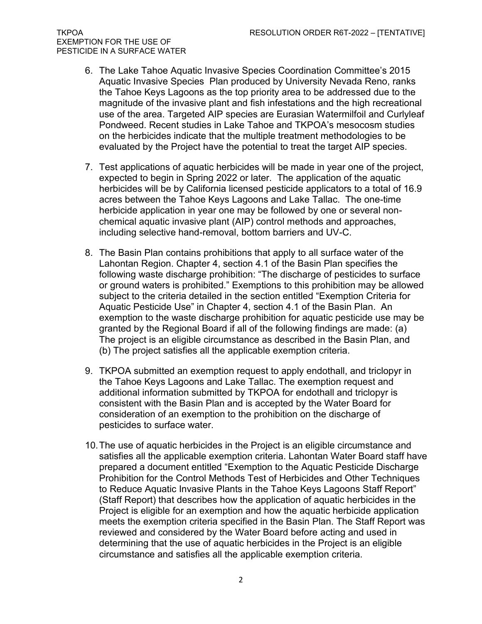EXEMPTION FOR THE USE OF PESTICIDE IN A SURFACE WATER

- 6. The Lake Tahoe Aquatic Invasive Species Coordination Committee's 2015 Aquatic Invasive Species Plan produced by University Nevada Reno, ranks the Tahoe Keys Lagoons as the top priority area to be addressed due to the magnitude of the invasive plant and fish infestations and the high recreational use of the area. Targeted AIP species are Eurasian Watermilfoil and Curlyleaf Pondweed. Recent studies in Lake Tahoe and TKPOA's mesocosm studies on the herbicides indicate that the multiple treatment methodologies to be evaluated by the Project have the potential to treat the target AIP species.
- 7. Test applications of aquatic herbicides will be made in year one of the project, expected to begin in Spring 2022 or later. The application of the aquatic herbicides will be by California licensed pesticide applicators to a total of 16.9 acres between the Tahoe Keys Lagoons and Lake Tallac. The one-time herbicide application in year one may be followed by one or several nonchemical aquatic invasive plant (AIP) control methods and approaches, including selective hand-removal, bottom barriers and UV-C.
- 8. The Basin Plan contains prohibitions that apply to all surface water of the Lahontan Region. Chapter 4, section 4.1 of the Basin Plan specifies the following waste discharge prohibition: "The discharge of pesticides to surface or ground waters is prohibited." Exemptions to this prohibition may be allowed subject to the criteria detailed in the section entitled "Exemption Criteria for Aquatic Pesticide Use" in Chapter 4, section 4.1 of the Basin Plan. An exemption to the waste discharge prohibition for aquatic pesticide use may be granted by the Regional Board if all of the following findings are made: (a) The project is an eligible circumstance as described in the Basin Plan, and (b) The project satisfies all the applicable exemption criteria.
- 9. TKPOA submitted an exemption request to apply endothall, and triclopyr in the Tahoe Keys Lagoons and Lake Tallac. The exemption request and additional information submitted by TKPOA for endothall and triclopyr is consistent with the Basin Plan and is accepted by the Water Board for consideration of an exemption to the prohibition on the discharge of pesticides to surface water.
- 10.The use of aquatic herbicides in the Project is an eligible circumstance and satisfies all the applicable exemption criteria. Lahontan Water Board staff have prepared a document entitled "Exemption to the Aquatic Pesticide Discharge Prohibition for the Control Methods Test of Herbicides and Other Techniques to Reduce Aquatic Invasive Plants in the Tahoe Keys Lagoons Staff Report" (Staff Report) that describes how the application of aquatic herbicides in the Project is eligible for an exemption and how the aquatic herbicide application meets the exemption criteria specified in the Basin Plan. The Staff Report was reviewed and considered by the Water Board before acting and used in determining that the use of aquatic herbicides in the Project is an eligible circumstance and satisfies all the applicable exemption criteria.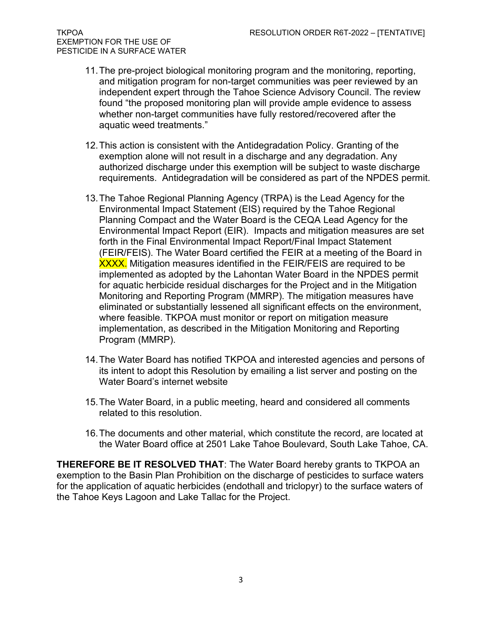- 11.The pre-project biological monitoring program and the monitoring, reporting, and mitigation program for non-target communities was peer reviewed by an independent expert through the Tahoe Science Advisory Council. The review found "the proposed monitoring plan will provide ample evidence to assess whether non-target communities have fully restored/recovered after the aquatic weed treatments."
- 12.This action is consistent with the Antidegradation Policy. Granting of the exemption alone will not result in a discharge and any degradation. Any authorized discharge under this exemption will be subject to waste discharge requirements. Antidegradation will be considered as part of the NPDES permit.
- 13.The Tahoe Regional Planning Agency (TRPA) is the Lead Agency for the Environmental Impact Statement (EIS) required by the Tahoe Regional Planning Compact and the Water Board is the CEQA Lead Agency for the Environmental Impact Report (EIR). Impacts and mitigation measures are set forth in the Final Environmental Impact Report/Final Impact Statement (FEIR/FEIS). The Water Board certified the FEIR at a meeting of the Board in **XXXX.** Mitigation measures identified in the FEIR/FEIS are required to be implemented as adopted by the Lahontan Water Board in the NPDES permit for aquatic herbicide residual discharges for the Project and in the Mitigation Monitoring and Reporting Program (MMRP). The mitigation measures have eliminated or substantially lessened all significant effects on the environment, where feasible. TKPOA must monitor or report on mitigation measure implementation, as described in the Mitigation Monitoring and Reporting Program (MMRP).
- 14.The Water Board has notified TKPOA and interested agencies and persons of its intent to adopt this Resolution by emailing a list server and posting on the Water Board's internet website
- 15.The Water Board, in a public meeting, heard and considered all comments related to this resolution.
- 16.The documents and other material, which constitute the record, are located at the Water Board office at 2501 Lake Tahoe Boulevard, South Lake Tahoe, CA.

**THEREFORE BE IT RESOLVED THAT**: The Water Board hereby grants to TKPOA an exemption to the Basin Plan Prohibition on the discharge of pesticides to surface waters for the application of aquatic herbicides (endothall and triclopyr) to the surface waters of the Tahoe Keys Lagoon and Lake Tallac for the Project.